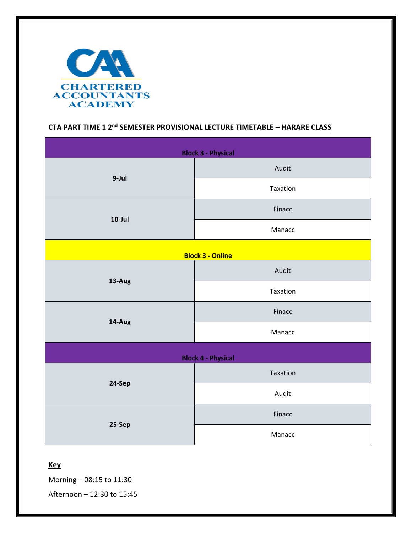

## **CTA PART TIME 1 2 nd SEMESTER PROVISIONAL LECTURE TIMETABLE – HARARE CLASS**

| <b>Block 3 - Physical</b> |          |  |  |  |
|---------------------------|----------|--|--|--|
| 9-Jul                     | Audit    |  |  |  |
|                           | Taxation |  |  |  |
| $10$ -Jul                 | Finacc   |  |  |  |
|                           | Manacc   |  |  |  |
| <b>Block 3 - Online</b>   |          |  |  |  |
| 13-Aug                    | Audit    |  |  |  |
|                           | Taxation |  |  |  |
| 14-Aug                    | Finacc   |  |  |  |
|                           | Manacc   |  |  |  |
| <b>Block 4 - Physical</b> |          |  |  |  |
| 24-Sep                    | Taxation |  |  |  |
|                           | Audit    |  |  |  |
| 25-Sep                    | Finacc   |  |  |  |
|                           | Manacc   |  |  |  |

## **Key**

Morning – 08:15 to 11:30

Afternoon – 12:30 to 15:45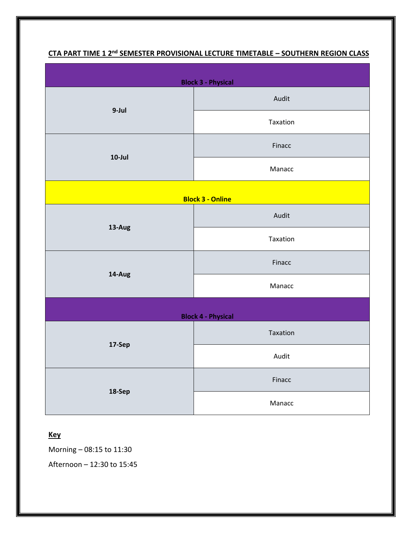| <b>Block 3 - Physical</b> |          |  |  |  |
|---------------------------|----------|--|--|--|
| 9-Jul                     | Audit    |  |  |  |
|                           | Taxation |  |  |  |
| $10$ -Jul                 | Finacc   |  |  |  |
|                           | Manacc   |  |  |  |
| <b>Block 3 - Online</b>   |          |  |  |  |
| 13-Aug                    | Audit    |  |  |  |
|                           | Taxation |  |  |  |
| 14-Aug                    | Finacc   |  |  |  |
|                           | Manacc   |  |  |  |
| <b>Block 4 - Physical</b> |          |  |  |  |
| 17-Sep                    | Taxation |  |  |  |
|                           | Audit    |  |  |  |
| 18-Sep                    | Finacc   |  |  |  |
|                           | Manacc   |  |  |  |

## **CTA PART TIME 1 2 nd SEMESTER PROVISIONAL LECTURE TIMETABLE – SOUTHERN REGION CLASS**

## **Key**

Morning – 08:15 to 11:30

Afternoon – 12:30 to 15:45